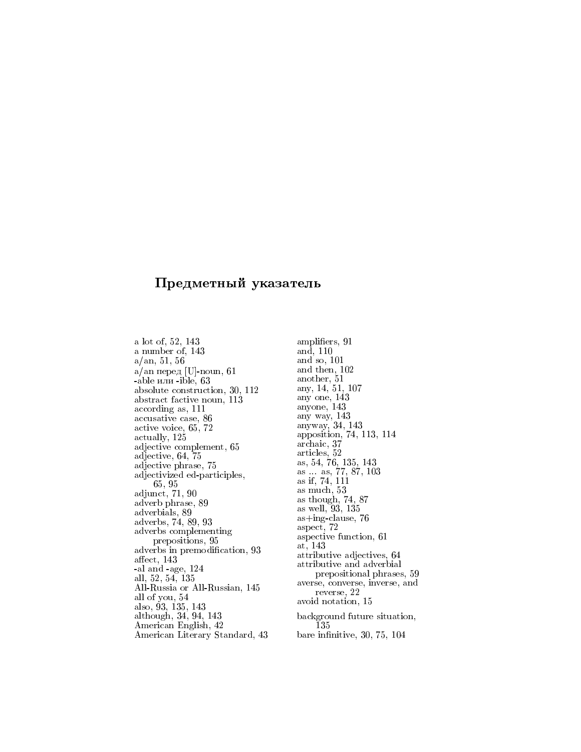a lot of, 52, 143 a number of, 143  $a/\text{an}, 51, 56$  $a$ /an перед [U]-noun, 61 -able или -ible, 63 absolute construction, 30, 112 abstract factive noun, 113 according as, 111 accusative case, 86 active voice, 65, 72 actually, 125 adjective complement, 65 adjective, 64, 75 adjective phrase, 75 adjectivized ed-participles, 65.95 adjunct,  $71, 90$ adverb phrase, 89 adverbials, 89 adverbs, 74, 89, 93 adverbs complementing prepositions, 95 adverbs in premodification, 93 affect, 143 -al and -age, 124 all, 52, 54, 135 All-Russia or All-Russian, 145 all of you, 54 also, 93, 135, 143<br>although, 34, 94, 143 American English, 42 American Literary Standard, 43

amplifiers, 91 and, 110 and so,  $101$ and then, 102 another, 51 anv. 14, 51, 107 any one,  $143$ <br>anyone,  $143$ any way, 143<br>anyway, 34, 143 apposition, 74, 113, 114 archaic, 37 articles, 52 as, 54, 76, 135, 143 as ... as, 77, 87, 103<br>as if, 74, 111 as much, 53 as though, 74, 87 as well, 93, 135  $as+ing-clause, 76$ aspect, 72 aspective function, 61 at,  $143$ attributive adjectives, 64 attributive and adverbial prepositional phrases, 59 averse, converse, inverse, and reverse, 22 avoid notation, 15 background future situation, 135 bare infinitive, 30, 75, 104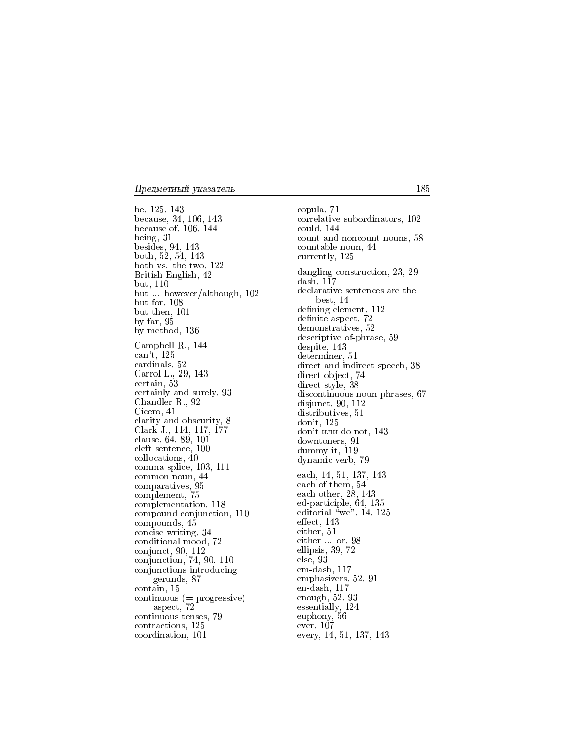be, 125, 143 because, 34, 106, 143 because of, 106, 144 being,  $31$ besides, 94, 143 both, 52, 54, 143 both vs. the two, 122 British English, 42 but, 110 but ... however/although, 102 but for, 108 but then, 101 by far,  $95$ by method, 136 Campbell R., 144 can't, 125 cardinals, 52 Carrol L., 29, 143 certain, 53 certainly and surely, 93 Chandler R., 92 Cicero, 41 clarity and obscurity, 8 Clark J., 114, 117, 177 clause,  $64, 89, 101$ cleft sentence, 100 collocations, 40 comma splice, 103, 111 common noun, 44 comparatives, 95 complement, 75 complementation, 118 compound conjunction, 110 compounds, 45 concise writing, 34 conditional mood, 72 conjunct,  $90, 112$ <br>conjunction, 74, 90, 110 conjunctions introducing gerunds, 87 contain, 15  $continuous (= progressive)$ aspect, 72 continuous tenses, 79 contractions, 125 coordination, 101

copula, 71 correlative subordinators, 102 could, 144 count and noncount nouns, 58 countable noun, 44 currently, 125 dangling construction, 23, 29  $dash, 117$ declarative sentences are the best, 14 defining element, 112 definite aspect, 72 demonstratives, 52 descriptive of-phrase, 59 despite, 143 determiner, 51 direct and indirect speech, 38 direct object, 74 direct style, 38 discontinuous noun phrases, 67 disjunct,  $90, 112$ distributives, 51  $don't, 125$ don't или do not, 143 downtoners, 91 dummy it, 119 dynamic verb, 79 each, 14, 51, 137, 143 each of them, 54 each other,  $28, 143$ ed-participle, 64, 135 editorial "we", 14, 125 effect, 143 either, 51  $\begin{array}{ll} \text{either} & \text{or, } 98 \\ \text{ellipsis, } 39, \ 72 \end{array}$  $else, 93$ em-dash, 117 emphasizers, 52, 91  $en-dash, 117$ enough,  $52, 93$ essentially, 124 euphony, 56 ever,  $107$ every, 14, 51, 137, 143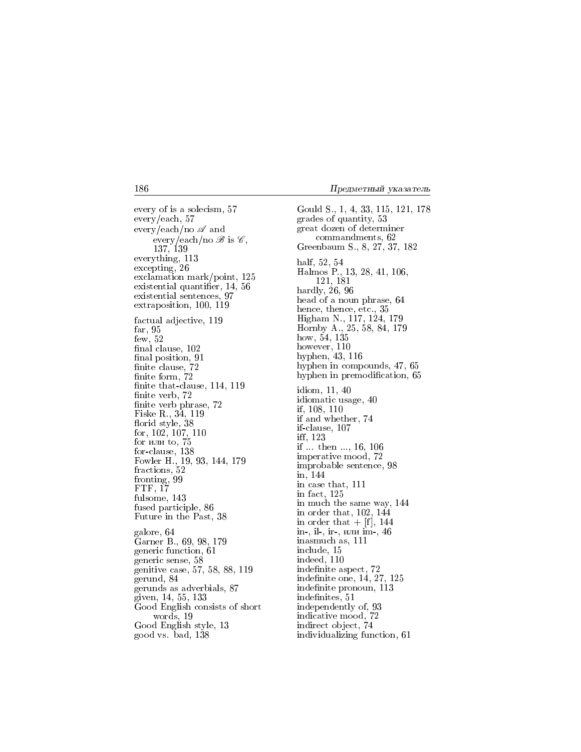every of is a solecism, 57  $every$  /each, 57 every/each/no  $\mathscr A$  and every/each/no  $\mathscr{B}$  is  $\mathscr{C}$ , 137, 139 everything, 113 excepting, 26 exclamation mark/point, 125 existential quantifier, 14, 56 existential sentences, 97 extraposition, 100, 119 factual adjective, 119 far,  $95$  $few, 52$ final clause, 102 final position, 91 finite clause, 72 finite form,  $72\,$ finite that-clause, 114, 119 finite verb, 72 finite verb phrase, 72 Fiske R., 34, 119 florid style, 38 for,  $102, 107, 110$ for или to, 75 for latin 60, 138<br>for-clause, 138<br>Fowler H., 19, 93, 144, 179<br>fractions, 52 fronting, 99 FTF, 17 fulsome, 143 fused participle, 86 Future in the Past, 38 galore, 64 Garner B., 69, 98, 179 generic function, 61 generic sense, 58 genitive case, 57, 58, 88, 119 gerund, 84 gerunds as adverbials, 87 given, 14, 55, 133 Good English consists of short words, 19 Good English style, 13 good vs. bad, 138

Gould S., 1, 4, 33, 115, 121, 178 grades of quantity, 53 great dozen of determiner commandments, 62 Greenbaum S., 8, 27, 37, 182 half, 52, 54 Halmos P., 13, 28, 41, 106, 121, 181 hardly,  $26, 96$ head of a noun phrase, 64 hence, thence, etc., 35 Higham N., 117, 124, 179 Hornby A., 25, 58, 84, 179 how, 54, 135 however, 110 hyphen, 43, 116 hyphen in compounds, 47, 65 hyphen in premodification, 65 idiom, 11, 40 idiomatic usage, 40 if, 108, 110 if and whether, 74 if-clause, 107 iff, 123 if  $\ldots$  then  $\ldots$ , 16, 106 imperative mood, 72 improbable sentence, 98 in, 144 in case that, 111 in fact. 125 in much the same way, 144 in order that,  $102, 144$ in order that  $+$  [f], 144 in-, il-, ir-, или im-, 46 inasmuch as, 111 include, 15 indeed, 110 indefinite aspect, 72 indefinite one, 14, 27, 125 indefinite pronoun, 113 indefinites, 51 independently of, 93 indicative mood, 72 indirect object, 74 individualizing function, 61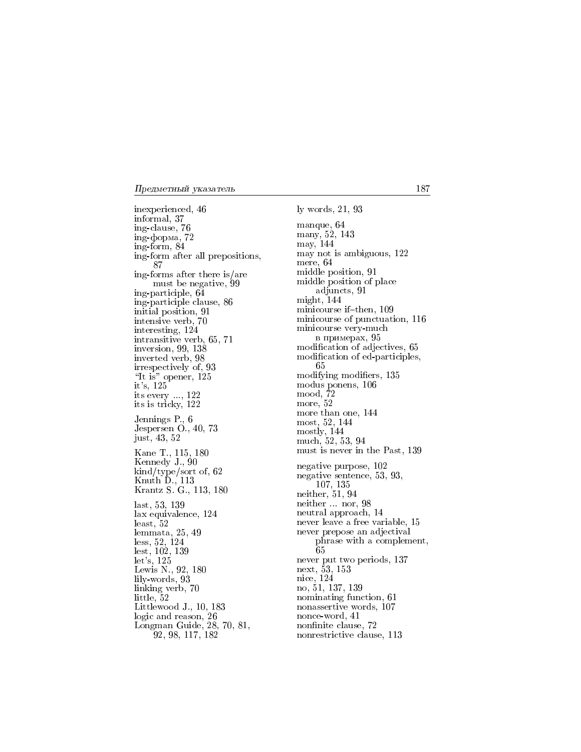inexperienced, 46 informal, 37 ing-clause, 76 ing-форма,  $72$ ing-form, 84 ing-form after all prepositions, 87 ing-forms after there is/are must be negative, 99 ing-participle, 64 ing-participle clause, 86 initial position, 91<br>intensive verb, 70 interesting, 124 intransitive verb, 65, 71 inversion,  $99, 138$ inverted verb, 98 irrespectively of, 93 "It is" opener, 125 it's,  $125$ its every  $..., 122$  its is tricky,  $122$ Jennings P., 6 Jespersen O., 40, 73 just, 43, 52 Kane T., 115, 180 Kennedy J., 90 kind/type/sort of, 62 Knuth D., 113<br>Krantz S. G., 113, 180 last, 53, 139 lax equivalence, 124  $least, 52$ lemmata,  $25, 49$ less, 52, 124 lest, 102, 139 let's,  $125$ Lewis N., 92, 180 lily-words, 93 linking verb, 70 little,  $52$ Littlewood J.,  $10, 183$ logic and reason, 26<br>Longman Guide, 28, 70, 81,  $92, 98, 117, 182$ 

ly words, 21, 93 manque, 64 many, 52, 143 may, 144 may not is ambiguous, 122 mere, 64 middle position, 91 middle position of place adjuncts, 91 might,  $144$ minicourse if-then, 109 minicourse of punctuation, 116 minicourse very-much в примерах, 95 modification of adjectives, 65 modification of ed-participles, 65 modifying modifiers, 135 modus ponens, 106  $\mod$ ,  $\overline{7}2$ more, 52 more than one, 144 most, 52, 144 mostly, 144 much, 52, 53, 94 must is never in the Past, 139 negative purpose, 102 negative sentence, 53, 93, 107, 135 neither, 51, 94 neither ... nor, 98 neutral approach, 14 never leave a free variable, 15 never prepose an adjectival phrase with a complement, 65 never put two periods, 137 next, 53, 153 nice, 124 no, 51, 137, 139 nominating function, 61 nonassertive words, 107 nonce-word, 41 nonfinite clause, 72 nonrestrictive clause, 113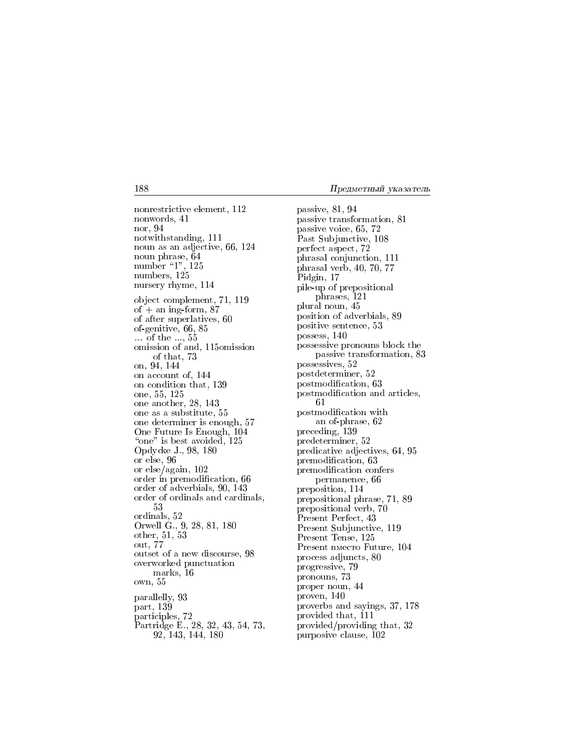nonrestrictive element, 112 nonwords, 41 nor, 94 notwithstanding, 111 noun as an adjective, 66, 124 noun phrase, 64 number "1", 125<br>numbers, 125 nursery rhyme, 114 object complement, 71, 119 of  $+$  an ing-form, 87 of after superlatives, 60 of-genitive, 66, 85  $\dots$  of the  $\dots$ , 55 omission of and, 115 omission of that, 73 on, 94, 144 on account of, 144 on condition that, 139 one, 55, 125 one another, 28, 143 one as a substitute, 55 one determiner is enough, 57 One Future Is Enough, 104 "one" is best avoided, 125 Opdycke J., 98, 180 or else, 96 or  $else/again, 102$ order in premodification, 66 order of adverbials, 90, 143 order of ordinals and cardinals, 53 ordinals, 52 Orwell G., 9, 28, 81, 180 other,  $51, 53$ out, 77 outset of a new discourse, 98 overworked punctuation marks, 16 own, 55 parallelly, 93 part, 139 participles, 72 Partridge E., 28, 32, 43, 54, 73,<br>92, 143, 144, 180 passive, 81, 94 passive transformation, 81 passive voice, 65, 72 Past Subjunctive, 108 perfect aspect, 72 phrasal conjunction, 111 phrasal verb, 40, 70, 77 Pidgin, 17 pile-up of prepositional phrases, 121 plural noun, 45 position of adverbials, 89 positive sentence, 53 possess, 140 possessive pronouns block the passive transformation, 83 possessives, 52 postdeterminer, 52 postmodification, 63 postmodification and articles, 61 postmodification with an of-phrase, 62 preceding, 139 predeterminer, 52 predicative adjectives, 64, 95 premodification, 63 premodification confers permanence, 66 preposition, 114 prepositional phrase, 71, 89 prepositional verb, 70 Present Perfect, 43 Present Subjunctive, 119 Present Tense, 125 Present BMecro Future, 104 process adjuncts, 80 progressive, 79 pronouns, 73 proper noun, 44 proven, 140 proverbs and sayings, 37, 178 provided that, 111 provided/providing that, 32 purposive clause, 102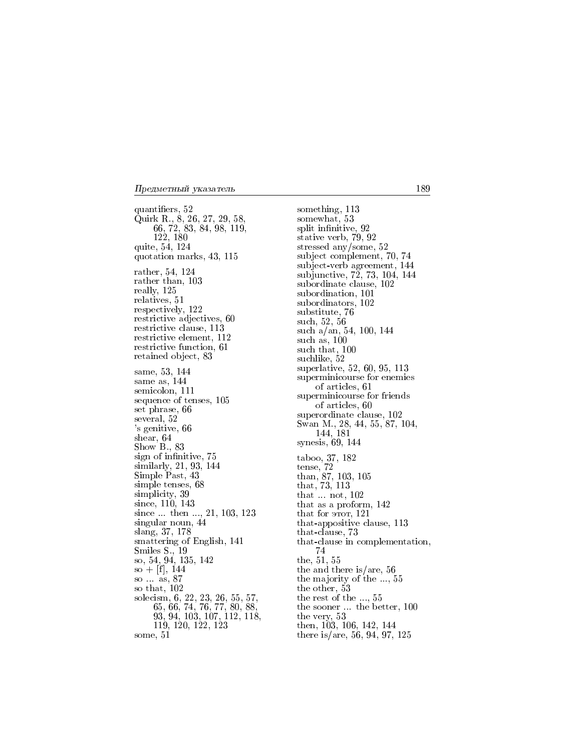quantifiers, 52 Quirk R., 8, 26, 27, 29, 58, 66, 72, 83, 84, 98, 119, 122, 180 quite, 54, 124 quotation marks, 43, 115 rather, 54, 124 rather than, 103 really, 125 relatives, 51 respectively, 122 restrictive adjectives, 60 restrictive clause, 113 restrictive element, 112 restrictive function, 61 retained object, 83 same, 53, 144 same as, 144 semicolon, 111 sequence of tenses, 105 set phrase, 66 several, 52 's genitive, 66 shear, 64 Show B., 83 sign of infinitive, 75 similarly, 21, 93, 144 Simple Past, 43 simple tenses, 68 simplicity, 39 since, 110, 143 since  $\dots$  then  $\dots$ , 21, 103, 123 singular noun, 44 slang, 37, 178 smattering of English, 141 Smiles S., 19 so, 54, 94, 135, 142  $so + [f], 144$ so as 87 so that, 102 solecism, 6, 22, 23, 26, 55, 57,<br>65, 66, 74, 76, 77, 80, 88,<br>93, 94, 103, 107, 112, 118, 119, 120, 122, 123 some, 51

something, 113 somewhat, 53 split infinitive, 92 stative verb, 79, 92 stressed any/some,  $52$ subject complement, 70, 74 subject-verb agreement, 144<br>subjunctive, 72, 73, 104, 144 subordinate clause, 102 subordination, 101 subordinators, 102 substitute, 76 such, 52, 56 such  $a/an$ , 54, 100, 144 such as,  $100$ such that, 100 suchlike, 52 superlative, 52, 60, 95, 113 superminicourse for enemies of articles, 61 superminicourse for friends of articles, 60 superordinate clause, 102 Swan M., 28, 44, 55, 87, 104, 144, 181 synesis, 69, 144 taboo, 37, 182 tense, 72<br>than, 87, 103, 105<br>that, 73, 113 that not, 102 that as a proform, 142 that for  $\overline{2}$  ror, 121 that-appositive clause, 113 that-clause, 73 that-clause in complementation, 74 the, 51, 55 the and there is/are, 56 the majority of the  $\dots$ , 55 the other, 53 the rest of the ..., 55 the sooner ... the better, 100 the very,  $53$ <br>then,  $103$ ,  $106$ ,  $142$ ,  $144$ there is/are, 56, 94, 97, 125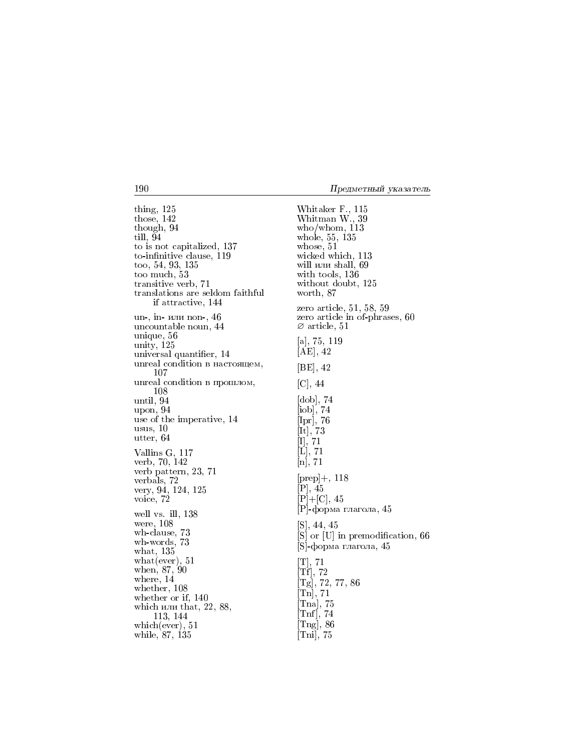thing, 125 those,  $142$ though, 94 till, 94 to is not capitalized, 137 to-infinitive clause, 119 too, 54, 93, 135 too much, 53 transitive verb, 71 translations are seldom faithful if attractive, 144 un-, in- или non-, 46 uncountable noun, 44 unique, 56 unity, 125 universal quantifier, 14 unreal condition в настоящем, 107 unreal condition в прошлом, 108 until, 94 upon, 94 use of the imperative, 14  $usus, 10$ utter, 64 Vallins G, 117 verb, 70, 142 verb pattern, 23, 71 verbals, 72<br>very, 94, 124, 125 voice, 72 well vs. ill. 138 were, 108 wh-clause, 73 wh-words, 73 what,  $135$  $\text{what}(\text{ever}), 51$ when,  $87,90$ where,  $14$ whether, 108 whether or if,  $140$ which или that,  $22, 88$ , 113, 144 which (ever),  $51$ while, 87, 135

Whitaker F., 115 Whitman W., 39  $who/whom, 113$ whole, 55, 135 whose, 51 wicked which, 113 will или shall, 69 with tools, 136 without doubt, 125 worth, 87 zero article,  $51, 58, 59$ zero article in of-phrases, 60  $\varnothing$  article, 51 [a], 75, 119  $[AE]$ , 42 [BE], 42  $[C], 44$  $[dob], 74$  $[{\rm{i}}{\rm{ob}}],\,74$  $\begin{bmatrix} 100 \\ 1 \text{pr} \end{bmatrix}$ , 76<br>  $\begin{bmatrix} 1 \text{tr} \end{bmatrix}$ , 73<br>  $\begin{bmatrix} 1 \text{tr} \end{bmatrix}$ , 71<br>  $\begin{bmatrix} 1 \text{tr} \end{bmatrix}$ , 71  $[n], 71$  $[prep]+, 118$  $[P], 45$  $[P]+[C], 45$ [P]-форма глагола, 45  $[S]$ , 44, 45  $|\mathbf{S}|$  or  $|\mathbf{U}|$  in premodification, 66 [S]-форма глагола, 45  $\begin{bmatrix} \text{T}],\,71 \ \text{[Tf]},\,72 \end{bmatrix}$  $[Tg], 72, 77, 86$  $[Tn], 71$  $\lbrack \text{Tan} \rbrack$ , 75  $[Tnf], 74$ [Tng],  $86$  $[Tni]$ , 75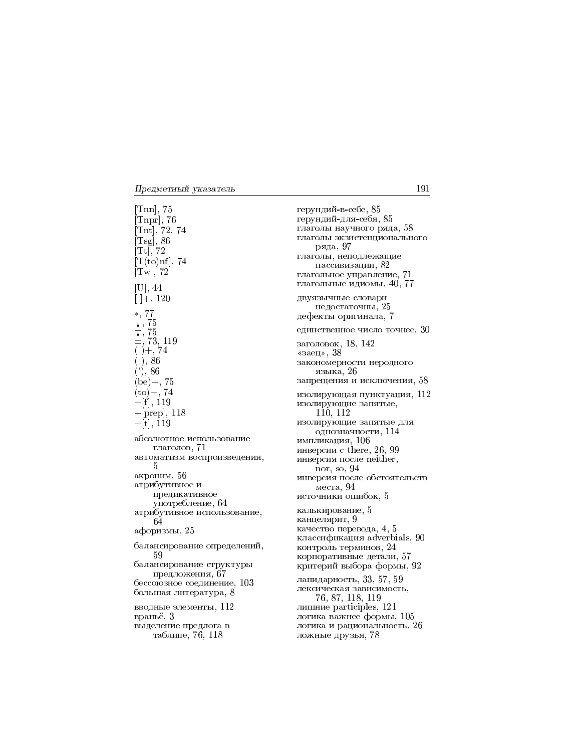$[Tnn]$ , 75  $[Tnpr], 76$  $[Tnt], 72, 74$ <br> $[Tsg], 86$  $\overline{[Tt]}, 72$  $[T(to)$ nf, 74  $[T_w]$ , 72  $[U]$ , 44  $[$  |+, 120  $*, 77$  $\begin{array}{c} .75 \\ + .75 \\ + .73 \\ + .73,119 \\ ()+,74 \end{array}$  $( )$ , 86  $(2), 86$  $(be) +$ , 75  $(to) + 74$  $+$ [f], 119  $+[prep], 118$  $+[t], 119$ абсолютное использование глаголов, 71 автоматизм воспроизведения, 5 акроним, 56 атрибутивное и предикативное употребление, 64 атрибутивное использование, 64 афоризмы, 25 балансирование определений, 59 балансирование структуры предложения, 67 бессоюзное соединение, 103 большая литература, 8 вводные элементы, 112 враньё, 3 выделение предлога в таблице, 76, 118

герундий-в-себе, 85 герундий-для-себя, 85 глаголы научного ряда, 58 глаголы экзистенционального ряда, 97 глаголы, неподлежащие пассивизации, 82 глагольное управление, 71 глагольные идиомы, 40, 77 двуязычные словари недостаточны, 25 дефекты оригинала, 7 единственное число точнее, 30 заголовок, 18, 142 «заец»,  $38$ закономерности неродного языка, 26 запрещения и исключения, 58 изолирующая пунктуация, 112 изолирующие запятые.  $110, 112$ изолирующие запятые для однозначности, 114 импликация, 106 инверсии с there, 26, 99 инверсия после neither, nor, so, 94 инверсия после обстоятельств места,  $94$ источники ошибок, 5 калькирование, 5 канцелярит, 9 качество перевода, 4, 5 классификация adverbials, 90 контроль терминов, 24 корпоративные детали, 57 критерий выбора формы, 92 лапидарность, 33, 57, 59 лексическая зависимость, 76, 87, 118, 119 лишние participles, 121 логика важнее формы, 105 логика и рациональность, 26 ложные друзья, 78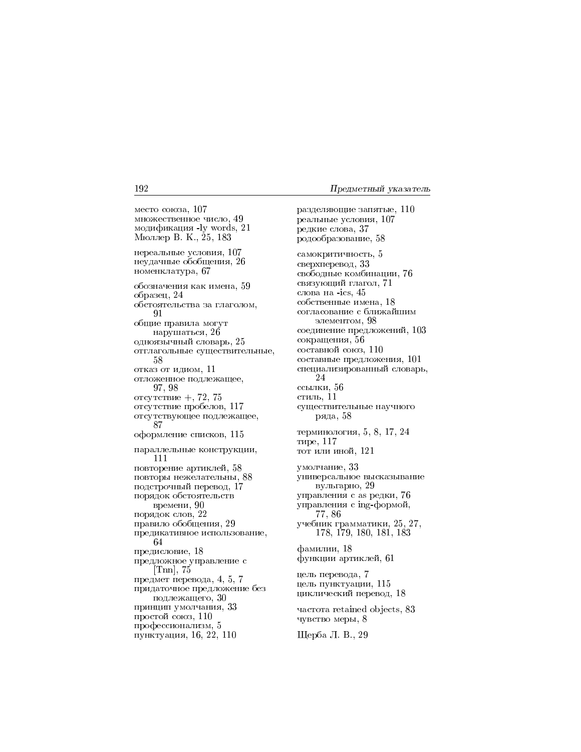место союза, 107 множественное число, 49 модификация -ly words, 21 Мюллер В. К., 25, 183 нереальные условия, 107 неудачные обобщения, 26 номенклатура, 67 обозначения как имена, 59 образец, 24 обстоятельства за глаголом, 91 общие правила могут нарушаться, 26 одноязычный словарь, 25 отглагольные существительные, 58 отказ от идиом, 11 отложенное подлежащее, 97, 98 отсутствие +, 72, 75 отсутствие пробелов, 117 отсутствующее подлежащее, 87 оформление списков, 115 параллельные конструкции, 111 повторение артиклей, 58 повторы нежелательны, 88 подстрочный перевод, 17 порядок обстоятельств времени, 90 порядок слов, 22 правило обобщения, 29 предикативное использование. 64 предисловие, 18 предложное управление с  $[Tnn]$ , 75 предмет перевода, 4, 5, 7 придаточное предложение без подлежащего, 30 принцип умолчания, 33 простой союз, 110 профессионализм, 5 пунктуация, 16, 22, 110

разделяющие запятые, 110 реальные условия, 107 редкие слова, 37 родообразование, 58 самокритичность, 5 сверхперевод, 33 свободные комбинации. 76 связующий глагол, 71 слова на -ics, 45 собственные имена, 18 согласование с ближайшим элементом, 98 соединение предложений, 103 сокращения, 56 составной союз, 110 составные предложения, 101 специализированный словарь, 24 ссылки, 56 стиль, 11 существительные научного ряда, 58 терминология, 5, 8, 17, 24 тире, 117 тот или иной, 121 умолчание, 33 универсальное высказывание вульгарно, 29 управления с аз редки, 76 управления с ing-формой, 77,86 учебник грамматики, 25, 27, 178, 179, 180, 181, 183 фамилии, 18 функции артиклей, 61 цель перевода, 7 цель пунктуации, 115 циклический перевод, 18 частота retained objects, 83 чувство меры, 8 Щерба Л. В., 29